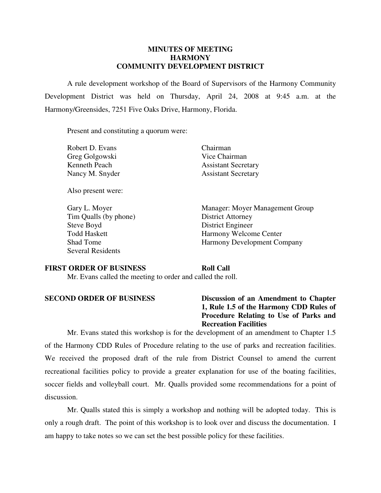#### **MINUTES OF MEETING HARMONY COMMUNITY DEVELOPMENT DISTRICT**

 A rule development workshop of the Board of Supervisors of the Harmony Community Development District was held on Thursday, April 24, 2008 at 9:45 a.m. at the Harmony/Greensides, 7251 Five Oaks Drive, Harmony, Florida.

Present and constituting a quorum were:

Robert D. Evans Chairman Greg Golgowski Vice Chairman

Also present were:

 Tim Qualls (by phone) District Attorney Steve Boyd District Engineer Several Residents

Kenneth Peach Assistant Secretary Nancy M. Snyder Assistant Secretary

 Gary L. Moyer Manager: Moyer Management Group Todd Haskett Harmony Welcome Center Shad Tome Harmony Development Company

#### **FIRST ORDER OF BUSINESS Roll Call**

Mr. Evans called the meeting to order and called the roll.

**SECOND ORDER OF BUSINESS Discussion of an Amendment to Chapter 1, Rule 1.5 of the Harmony CDD Rules of Procedure Relating to Use of Parks and Recreation Facilities** 

 Mr. Evans stated this workshop is for the development of an amendment to Chapter 1.5 of the Harmony CDD Rules of Procedure relating to the use of parks and recreation facilities. We received the proposed draft of the rule from District Counsel to amend the current recreational facilities policy to provide a greater explanation for use of the boating facilities, soccer fields and volleyball court. Mr. Qualls provided some recommendations for a point of discussion.

 Mr. Qualls stated this is simply a workshop and nothing will be adopted today. This is only a rough draft. The point of this workshop is to look over and discuss the documentation. I am happy to take notes so we can set the best possible policy for these facilities.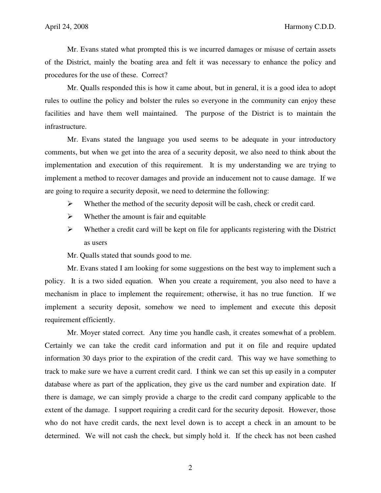Mr. Evans stated what prompted this is we incurred damages or misuse of certain assets of the District, mainly the boating area and felt it was necessary to enhance the policy and procedures for the use of these. Correct?

 Mr. Qualls responded this is how it came about, but in general, it is a good idea to adopt rules to outline the policy and bolster the rules so everyone in the community can enjoy these facilities and have them well maintained. The purpose of the District is to maintain the infrastructure.

 Mr. Evans stated the language you used seems to be adequate in your introductory comments, but when we get into the area of a security deposit, we also need to think about the implementation and execution of this requirement. It is my understanding we are trying to implement a method to recover damages and provide an inducement not to cause damage. If we are going to require a security deposit, we need to determine the following:

- $\triangleright$  Whether the method of the security deposit will be cash, check or credit card.
- $\triangleright$  Whether the amount is fair and equitable
- $\triangleright$  Whether a credit card will be kept on file for applicants registering with the District as users

Mr. Qualls stated that sounds good to me.

 Mr. Evans stated I am looking for some suggestions on the best way to implement such a policy. It is a two sided equation. When you create a requirement, you also need to have a mechanism in place to implement the requirement; otherwise, it has no true function. If we implement a security deposit, somehow we need to implement and execute this deposit requirement efficiently.

 Mr. Moyer stated correct. Any time you handle cash, it creates somewhat of a problem. Certainly we can take the credit card information and put it on file and require updated information 30 days prior to the expiration of the credit card. This way we have something to track to make sure we have a current credit card. I think we can set this up easily in a computer database where as part of the application, they give us the card number and expiration date. If there is damage, we can simply provide a charge to the credit card company applicable to the extent of the damage. I support requiring a credit card for the security deposit. However, those who do not have credit cards, the next level down is to accept a check in an amount to be determined. We will not cash the check, but simply hold it. If the check has not been cashed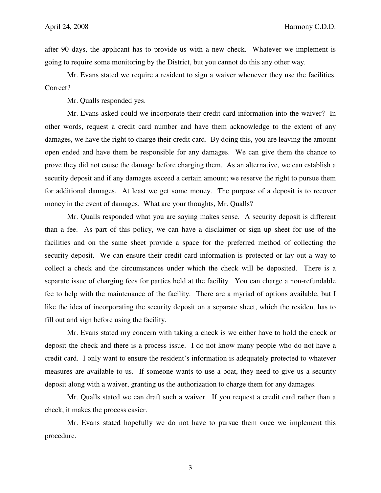after 90 days, the applicant has to provide us with a new check. Whatever we implement is going to require some monitoring by the District, but you cannot do this any other way.

 Mr. Evans stated we require a resident to sign a waiver whenever they use the facilities. Correct?

Mr. Qualls responded yes.

 Mr. Evans asked could we incorporate their credit card information into the waiver? In other words, request a credit card number and have them acknowledge to the extent of any damages, we have the right to charge their credit card. By doing this, you are leaving the amount open ended and have them be responsible for any damages. We can give them the chance to prove they did not cause the damage before charging them. As an alternative, we can establish a security deposit and if any damages exceed a certain amount; we reserve the right to pursue them for additional damages. At least we get some money. The purpose of a deposit is to recover money in the event of damages. What are your thoughts, Mr. Qualls?

 Mr. Qualls responded what you are saying makes sense. A security deposit is different than a fee. As part of this policy, we can have a disclaimer or sign up sheet for use of the facilities and on the same sheet provide a space for the preferred method of collecting the security deposit. We can ensure their credit card information is protected or lay out a way to collect a check and the circumstances under which the check will be deposited. There is a separate issue of charging fees for parties held at the facility. You can charge a non-refundable fee to help with the maintenance of the facility. There are a myriad of options available, but I like the idea of incorporating the security deposit on a separate sheet, which the resident has to fill out and sign before using the facility.

 Mr. Evans stated my concern with taking a check is we either have to hold the check or deposit the check and there is a process issue. I do not know many people who do not have a credit card. I only want to ensure the resident's information is adequately protected to whatever measures are available to us. If someone wants to use a boat, they need to give us a security deposit along with a waiver, granting us the authorization to charge them for any damages.

 Mr. Qualls stated we can draft such a waiver. If you request a credit card rather than a check, it makes the process easier.

 Mr. Evans stated hopefully we do not have to pursue them once we implement this procedure.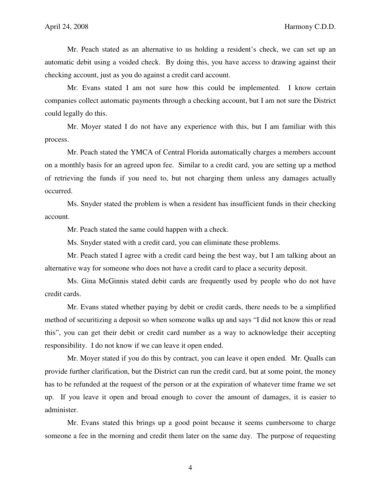Mr. Peach stated as an alternative to us holding a resident's check, we can set up an automatic debit using a voided check. By doing this, you have access to drawing against their checking account, just as you do against a credit card account.

 Mr. Evans stated I am not sure how this could be implemented. I know certain companies collect automatic payments through a checking account, but I am not sure the District could legally do this.

 Mr. Moyer stated I do not have any experience with this, but I am familiar with this process.

 Mr. Peach stated the YMCA of Central Florida automatically charges a members account on a monthly basis for an agreed upon fee. Similar to a credit card, you are setting up a method of retrieving the funds if you need to, but not charging them unless any damages actually occurred.

 Ms. Snyder stated the problem is when a resident has insufficient funds in their checking account.

Mr. Peach stated the same could happen with a check.

Ms. Snyder stated with a credit card, you can eliminate these problems.

 Mr. Peach stated I agree with a credit card being the best way, but I am talking about an alternative way for someone who does not have a credit card to place a security deposit.

 Ms. Gina McGinnis stated debit cards are frequently used by people who do not have credit cards.

 Mr. Evans stated whether paying by debit or credit cards, there needs to be a simplified method of securitizing a deposit so when someone walks up and says "I did not know this or read this", you can get their debit or credit card number as a way to acknowledge their accepting responsibility. I do not know if we can leave it open ended.

 Mr. Moyer stated if you do this by contract, you can leave it open ended. Mr. Qualls can provide further clarification, but the District can run the credit card, but at some point, the money has to be refunded at the request of the person or at the expiration of whatever time frame we set up. If you leave it open and broad enough to cover the amount of damages, it is easier to administer.

 Mr. Evans stated this brings up a good point because it seems cumbersome to charge someone a fee in the morning and credit them later on the same day. The purpose of requesting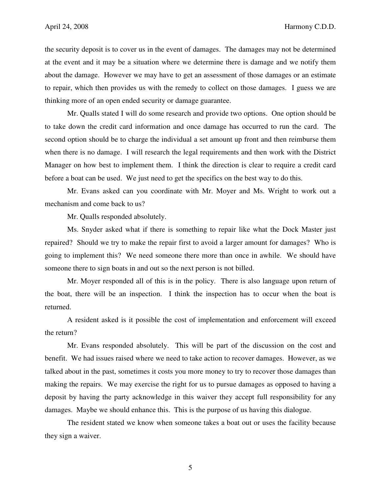the security deposit is to cover us in the event of damages. The damages may not be determined at the event and it may be a situation where we determine there is damage and we notify them about the damage. However we may have to get an assessment of those damages or an estimate to repair, which then provides us with the remedy to collect on those damages. I guess we are thinking more of an open ended security or damage guarantee.

 Mr. Qualls stated I will do some research and provide two options. One option should be to take down the credit card information and once damage has occurred to run the card. The second option should be to charge the individual a set amount up front and then reimburse them when there is no damage. I will research the legal requirements and then work with the District Manager on how best to implement them. I think the direction is clear to require a credit card before a boat can be used. We just need to get the specifics on the best way to do this.

 Mr. Evans asked can you coordinate with Mr. Moyer and Ms. Wright to work out a mechanism and come back to us?

Mr. Qualls responded absolutely.

 Ms. Snyder asked what if there is something to repair like what the Dock Master just repaired? Should we try to make the repair first to avoid a larger amount for damages? Who is going to implement this? We need someone there more than once in awhile. We should have someone there to sign boats in and out so the next person is not billed.

 Mr. Moyer responded all of this is in the policy. There is also language upon return of the boat, there will be an inspection. I think the inspection has to occur when the boat is returned.

 A resident asked is it possible the cost of implementation and enforcement will exceed the return?

 Mr. Evans responded absolutely. This will be part of the discussion on the cost and benefit. We had issues raised where we need to take action to recover damages. However, as we talked about in the past, sometimes it costs you more money to try to recover those damages than making the repairs. We may exercise the right for us to pursue damages as opposed to having a deposit by having the party acknowledge in this waiver they accept full responsibility for any damages. Maybe we should enhance this. This is the purpose of us having this dialogue.

 The resident stated we know when someone takes a boat out or uses the facility because they sign a waiver.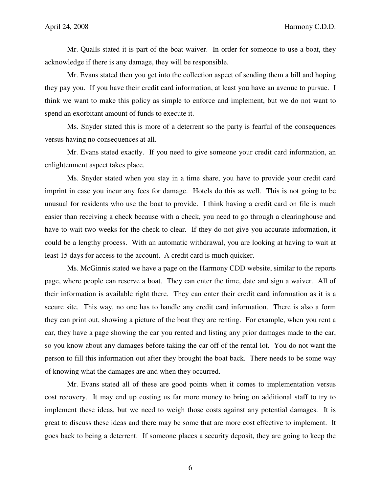Mr. Qualls stated it is part of the boat waiver. In order for someone to use a boat, they acknowledge if there is any damage, they will be responsible.

 Mr. Evans stated then you get into the collection aspect of sending them a bill and hoping they pay you. If you have their credit card information, at least you have an avenue to pursue. I think we want to make this policy as simple to enforce and implement, but we do not want to spend an exorbitant amount of funds to execute it.

 Ms. Snyder stated this is more of a deterrent so the party is fearful of the consequences versus having no consequences at all.

 Mr. Evans stated exactly. If you need to give someone your credit card information, an enlightenment aspect takes place.

 Ms. Snyder stated when you stay in a time share, you have to provide your credit card imprint in case you incur any fees for damage. Hotels do this as well. This is not going to be unusual for residents who use the boat to provide. I think having a credit card on file is much easier than receiving a check because with a check, you need to go through a clearinghouse and have to wait two weeks for the check to clear. If they do not give you accurate information, it could be a lengthy process. With an automatic withdrawal, you are looking at having to wait at least 15 days for access to the account. A credit card is much quicker.

 Ms. McGinnis stated we have a page on the Harmony CDD website, similar to the reports page, where people can reserve a boat. They can enter the time, date and sign a waiver. All of their information is available right there. They can enter their credit card information as it is a secure site. This way, no one has to handle any credit card information. There is also a form they can print out, showing a picture of the boat they are renting. For example, when you rent a car, they have a page showing the car you rented and listing any prior damages made to the car, so you know about any damages before taking the car off of the rental lot. You do not want the person to fill this information out after they brought the boat back. There needs to be some way of knowing what the damages are and when they occurred.

 Mr. Evans stated all of these are good points when it comes to implementation versus cost recovery. It may end up costing us far more money to bring on additional staff to try to implement these ideas, but we need to weigh those costs against any potential damages. It is great to discuss these ideas and there may be some that are more cost effective to implement. It goes back to being a deterrent. If someone places a security deposit, they are going to keep the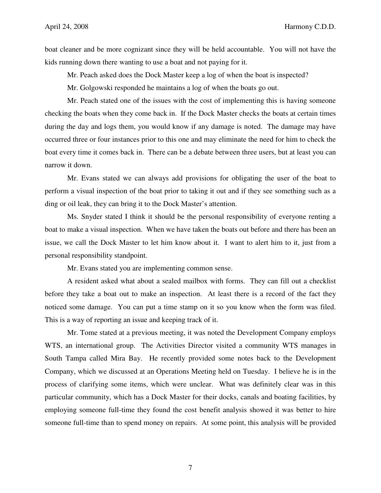boat cleaner and be more cognizant since they will be held accountable. You will not have the kids running down there wanting to use a boat and not paying for it.

Mr. Peach asked does the Dock Master keep a log of when the boat is inspected?

Mr. Golgowski responded he maintains a log of when the boats go out.

 Mr. Peach stated one of the issues with the cost of implementing this is having someone checking the boats when they come back in. If the Dock Master checks the boats at certain times during the day and logs them, you would know if any damage is noted. The damage may have occurred three or four instances prior to this one and may eliminate the need for him to check the boat every time it comes back in. There can be a debate between three users, but at least you can narrow it down.

 Mr. Evans stated we can always add provisions for obligating the user of the boat to perform a visual inspection of the boat prior to taking it out and if they see something such as a ding or oil leak, they can bring it to the Dock Master's attention.

 Ms. Snyder stated I think it should be the personal responsibility of everyone renting a boat to make a visual inspection. When we have taken the boats out before and there has been an issue, we call the Dock Master to let him know about it. I want to alert him to it, just from a personal responsibility standpoint.

Mr. Evans stated you are implementing common sense.

 A resident asked what about a sealed mailbox with forms. They can fill out a checklist before they take a boat out to make an inspection. At least there is a record of the fact they noticed some damage. You can put a time stamp on it so you know when the form was filed. This is a way of reporting an issue and keeping track of it.

 Mr. Tome stated at a previous meeting, it was noted the Development Company employs WTS, an international group. The Activities Director visited a community WTS manages in South Tampa called Mira Bay. He recently provided some notes back to the Development Company, which we discussed at an Operations Meeting held on Tuesday. I believe he is in the process of clarifying some items, which were unclear. What was definitely clear was in this particular community, which has a Dock Master for their docks, canals and boating facilities, by employing someone full-time they found the cost benefit analysis showed it was better to hire someone full-time than to spend money on repairs. At some point, this analysis will be provided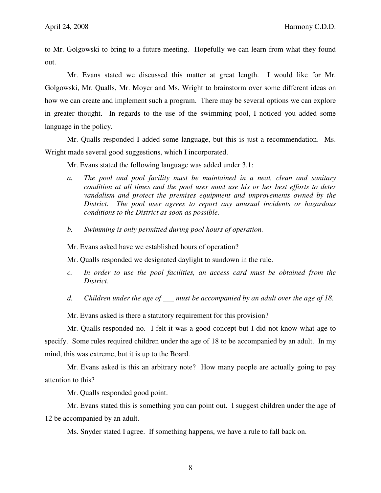to Mr. Golgowski to bring to a future meeting. Hopefully we can learn from what they found out.

 Mr. Evans stated we discussed this matter at great length. I would like for Mr. Golgowski, Mr. Qualls, Mr. Moyer and Ms. Wright to brainstorm over some different ideas on how we can create and implement such a program. There may be several options we can explore in greater thought. In regards to the use of the swimming pool, I noticed you added some language in the policy.

 Mr. Qualls responded I added some language, but this is just a recommendation. Ms. Wright made several good suggestions, which I incorporated.

Mr. Evans stated the following language was added under 3.1:

- *a. The pool and pool facility must be maintained in a neat, clean and sanitary condition at all times and the pool user must use his or her best efforts to deter vandalism and protect the premises equipment and improvements owned by the District. The pool user agrees to report any unusual incidents or hazardous conditions to the District as soon as possible.*
- *b. Swimming is only permitted during pool hours of operation.*

Mr. Evans asked have we established hours of operation?

Mr. Qualls responded we designated daylight to sundown in the rule.

- *c. In order to use the pool facilities, an access card must be obtained from the District.*
- *d. Children under the age of \_\_\_ must be accompanied by an adult over the age of 18.*

Mr. Evans asked is there a statutory requirement for this provision?

 Mr. Qualls responded no. I felt it was a good concept but I did not know what age to specify. Some rules required children under the age of 18 to be accompanied by an adult. In my mind, this was extreme, but it is up to the Board.

 Mr. Evans asked is this an arbitrary note? How many people are actually going to pay attention to this?

Mr. Qualls responded good point.

 Mr. Evans stated this is something you can point out. I suggest children under the age of 12 be accompanied by an adult.

Ms. Snyder stated I agree. If something happens, we have a rule to fall back on.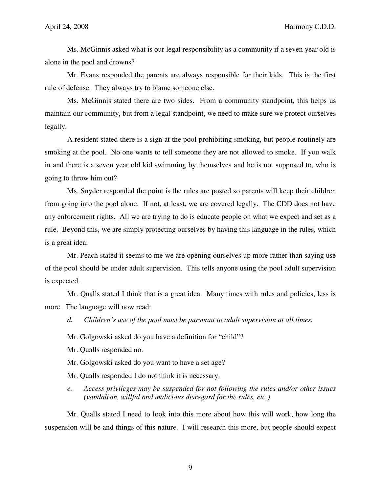Ms. McGinnis asked what is our legal responsibility as a community if a seven year old is alone in the pool and drowns?

 Mr. Evans responded the parents are always responsible for their kids. This is the first rule of defense. They always try to blame someone else.

 Ms. McGinnis stated there are two sides. From a community standpoint, this helps us maintain our community, but from a legal standpoint, we need to make sure we protect ourselves legally.

 A resident stated there is a sign at the pool prohibiting smoking, but people routinely are smoking at the pool. No one wants to tell someone they are not allowed to smoke. If you walk in and there is a seven year old kid swimming by themselves and he is not supposed to, who is going to throw him out?

 Ms. Snyder responded the point is the rules are posted so parents will keep their children from going into the pool alone. If not, at least, we are covered legally. The CDD does not have any enforcement rights. All we are trying to do is educate people on what we expect and set as a rule. Beyond this, we are simply protecting ourselves by having this language in the rules, which is a great idea.

 Mr. Peach stated it seems to me we are opening ourselves up more rather than saying use of the pool should be under adult supervision. This tells anyone using the pool adult supervision is expected.

 Mr. Qualls stated I think that is a great idea. Many times with rules and policies, less is more. The language will now read:

*d. Children's use of the pool must be pursuant to adult supervision at all times.* 

Mr. Golgowski asked do you have a definition for "child"?

Mr. Qualls responded no.

Mr. Golgowski asked do you want to have a set age?

Mr. Qualls responded I do not think it is necessary.

*e. Access privileges may be suspended for not following the rules and/or other issues (vandalism, willful and malicious disregard for the rules, etc.)* 

 Mr. Qualls stated I need to look into this more about how this will work, how long the suspension will be and things of this nature. I will research this more, but people should expect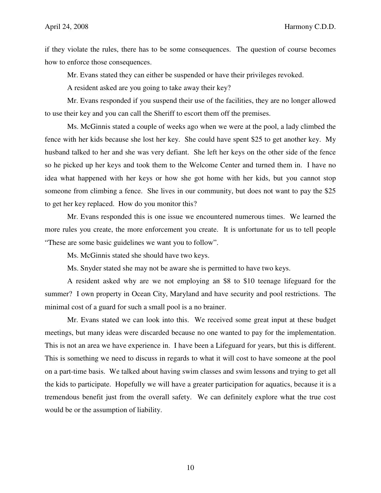if they violate the rules, there has to be some consequences. The question of course becomes how to enforce those consequences.

Mr. Evans stated they can either be suspended or have their privileges revoked.

A resident asked are you going to take away their key?

 Mr. Evans responded if you suspend their use of the facilities, they are no longer allowed to use their key and you can call the Sheriff to escort them off the premises.

 Ms. McGinnis stated a couple of weeks ago when we were at the pool, a lady climbed the fence with her kids because she lost her key. She could have spent \$25 to get another key. My husband talked to her and she was very defiant. She left her keys on the other side of the fence so he picked up her keys and took them to the Welcome Center and turned them in. I have no idea what happened with her keys or how she got home with her kids, but you cannot stop someone from climbing a fence. She lives in our community, but does not want to pay the \$25 to get her key replaced. How do you monitor this?

 Mr. Evans responded this is one issue we encountered numerous times. We learned the more rules you create, the more enforcement you create. It is unfortunate for us to tell people "These are some basic guidelines we want you to follow".

Ms. McGinnis stated she should have two keys.

Ms. Snyder stated she may not be aware she is permitted to have two keys.

 A resident asked why are we not employing an \$8 to \$10 teenage lifeguard for the summer? I own property in Ocean City, Maryland and have security and pool restrictions. The minimal cost of a guard for such a small pool is a no brainer.

 Mr. Evans stated we can look into this. We received some great input at these budget meetings, but many ideas were discarded because no one wanted to pay for the implementation. This is not an area we have experience in. I have been a Lifeguard for years, but this is different. This is something we need to discuss in regards to what it will cost to have someone at the pool on a part-time basis. We talked about having swim classes and swim lessons and trying to get all the kids to participate. Hopefully we will have a greater participation for aquatics, because it is a tremendous benefit just from the overall safety. We can definitely explore what the true cost would be or the assumption of liability.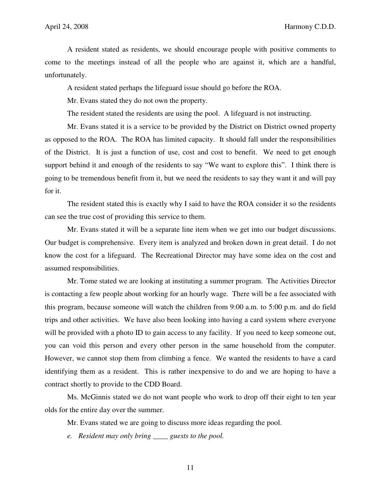A resident stated as residents, we should encourage people with positive comments to come to the meetings instead of all the people who are against it, which are a handful, unfortunately.

A resident stated perhaps the lifeguard issue should go before the ROA.

Mr. Evans stated they do not own the property.

The resident stated the residents are using the pool. A lifeguard is not instructing.

 Mr. Evans stated it is a service to be provided by the District on District owned property as opposed to the ROA. The ROA has limited capacity. It should fall under the responsibilities of the District. It is just a function of use, cost and cost to benefit. We need to get enough support behind it and enough of the residents to say "We want to explore this". I think there is going to be tremendous benefit from it, but we need the residents to say they want it and will pay for it.

 The resident stated this is exactly why I said to have the ROA consider it so the residents can see the true cost of providing this service to them.

 Mr. Evans stated it will be a separate line item when we get into our budget discussions. Our budget is comprehensive. Every item is analyzed and broken down in great detail. I do not know the cost for a lifeguard. The Recreational Director may have some idea on the cost and assumed responsibilities.

 Mr. Tome stated we are looking at instituting a summer program. The Activities Director is contacting a few people about working for an hourly wage. There will be a fee associated with this program, because someone will watch the children from 9:00 a.m. to 5:00 p.m. and do field trips and other activities. We have also been looking into having a card system where everyone will be provided with a photo ID to gain access to any facility. If you need to keep someone out, you can void this person and every other person in the same household from the computer. However, we cannot stop them from climbing a fence. We wanted the residents to have a card identifying them as a resident. This is rather inexpensive to do and we are hoping to have a contract shortly to provide to the CDD Board.

 Ms. McGinnis stated we do not want people who work to drop off their eight to ten year olds for the entire day over the summer.

Mr. Evans stated we are going to discuss more ideas regarding the pool.

*e. Resident may only bring \_\_\_\_ guests to the pool.*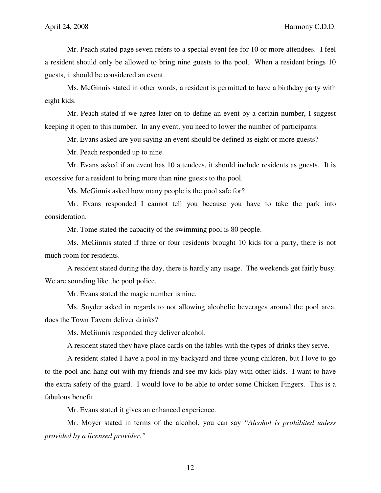Mr. Peach stated page seven refers to a special event fee for 10 or more attendees. I feel a resident should only be allowed to bring nine guests to the pool. When a resident brings 10 guests, it should be considered an event.

 Ms. McGinnis stated in other words, a resident is permitted to have a birthday party with eight kids.

 Mr. Peach stated if we agree later on to define an event by a certain number, I suggest keeping it open to this number. In any event, you need to lower the number of participants.

Mr. Evans asked are you saying an event should be defined as eight or more guests?

Mr. Peach responded up to nine.

 Mr. Evans asked if an event has 10 attendees, it should include residents as guests. It is excessive for a resident to bring more than nine guests to the pool.

Ms. McGinnis asked how many people is the pool safe for?

 Mr. Evans responded I cannot tell you because you have to take the park into consideration.

Mr. Tome stated the capacity of the swimming pool is 80 people.

 Ms. McGinnis stated if three or four residents brought 10 kids for a party, there is not much room for residents.

 A resident stated during the day, there is hardly any usage. The weekends get fairly busy. We are sounding like the pool police.

Mr. Evans stated the magic number is nine.

 Ms. Snyder asked in regards to not allowing alcoholic beverages around the pool area, does the Town Tavern deliver drinks?

Ms. McGinnis responded they deliver alcohol.

A resident stated they have place cards on the tables with the types of drinks they serve.

 A resident stated I have a pool in my backyard and three young children, but I love to go to the pool and hang out with my friends and see my kids play with other kids. I want to have the extra safety of the guard. I would love to be able to order some Chicken Fingers. This is a fabulous benefit.

Mr. Evans stated it gives an enhanced experience.

 Mr. Moyer stated in terms of the alcohol, you can say *"Alcohol is prohibited unless provided by a licensed provider."*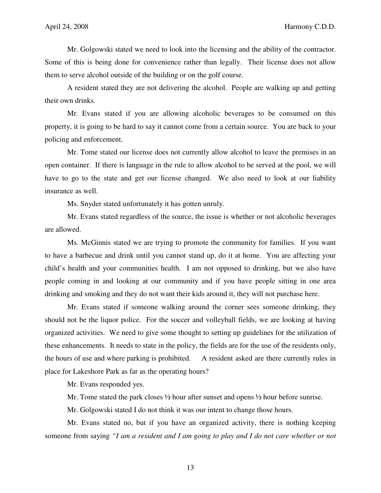Mr. Golgowski stated we need to look into the licensing and the ability of the contractor. Some of this is being done for convenience rather than legally. Their license does not allow them to serve alcohol outside of the building or on the golf course.

 A resident stated they are not delivering the alcohol. People are walking up and getting their own drinks.

 Mr. Evans stated if you are allowing alcoholic beverages to be consumed on this property, it is going to be hard to say it cannot come from a certain source. You are back to your policing and enforcement.

 Mr. Tome stated our license does not currently allow alcohol to leave the premises in an open container. If there is language in the rule to allow alcohol to be served at the pool, we will have to go to the state and get our license changed. We also need to look at our liability insurance as well.

Ms. Snyder stated unfortunately it has gotten unruly.

 Mr. Evans stated regardless of the source, the issue is whether or not alcoholic beverages are allowed.

 Ms. McGinnis stated we are trying to promote the community for families. If you want to have a barbecue and drink until you cannot stand up, do it at home. You are affecting your child's health and your communities health. I am not opposed to drinking, but we also have people coming in and looking at our community and if you have people sitting in one area drinking and smoking and they do not want their kids around it, they will not purchase here.

 Mr. Evans stated if someone walking around the corner sees someone drinking, they should not be the liquor police. For the soccer and volleyball fields, we are looking at having organized activities. We need to give some thought to setting up guidelines for the utilization of these enhancements. It needs to state in the policy, the fields are for the use of the residents only, the hours of use and where parking is prohibited. A resident asked are there currently rules in place for Lakeshore Park as far as the operating hours?

Mr. Evans responded yes.

Mr. Tome stated the park closes ½ hour after sunset and opens ½ hour before sunrise.

Mr. Golgowski stated I do not think it was our intent to change those hours.

 Mr. Evans stated no, but if you have an organized activity, there is nothing keeping someone from saying *"I am a resident and I am going to play and I do not care whether or not*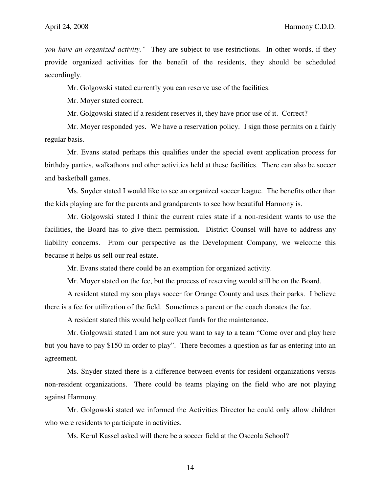*you have an organized activity."* They are subject to use restrictions. In other words, if they provide organized activities for the benefit of the residents, they should be scheduled accordingly.

Mr. Golgowski stated currently you can reserve use of the facilities.

Mr. Moyer stated correct.

Mr. Golgowski stated if a resident reserves it, they have prior use of it. Correct?

 Mr. Moyer responded yes. We have a reservation policy. I sign those permits on a fairly regular basis.

 Mr. Evans stated perhaps this qualifies under the special event application process for birthday parties, walkathons and other activities held at these facilities. There can also be soccer and basketball games.

 Ms. Snyder stated I would like to see an organized soccer league. The benefits other than the kids playing are for the parents and grandparents to see how beautiful Harmony is.

 Mr. Golgowski stated I think the current rules state if a non-resident wants to use the facilities, the Board has to give them permission. District Counsel will have to address any liability concerns. From our perspective as the Development Company, we welcome this because it helps us sell our real estate.

Mr. Evans stated there could be an exemption for organized activity.

Mr. Moyer stated on the fee, but the process of reserving would still be on the Board.

 A resident stated my son plays soccer for Orange County and uses their parks. I believe there is a fee for utilization of the field. Sometimes a parent or the coach donates the fee.

A resident stated this would help collect funds for the maintenance.

 Mr. Golgowski stated I am not sure you want to say to a team "Come over and play here but you have to pay \$150 in order to play". There becomes a question as far as entering into an agreement.

 Ms. Snyder stated there is a difference between events for resident organizations versus non-resident organizations. There could be teams playing on the field who are not playing against Harmony.

 Mr. Golgowski stated we informed the Activities Director he could only allow children who were residents to participate in activities.

Ms. Kerul Kassel asked will there be a soccer field at the Osceola School?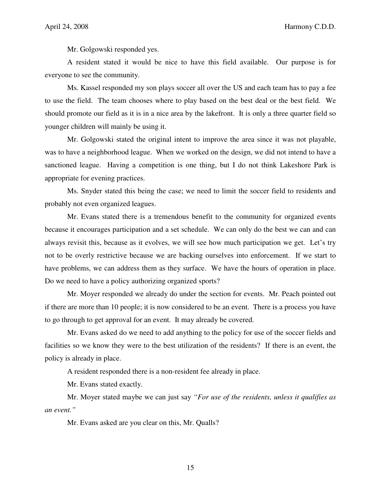Mr. Golgowski responded yes.

 A resident stated it would be nice to have this field available. Our purpose is for everyone to see the community.

 Ms. Kassel responded my son plays soccer all over the US and each team has to pay a fee to use the field. The team chooses where to play based on the best deal or the best field. We should promote our field as it is in a nice area by the lakefront. It is only a three quarter field so younger children will mainly be using it.

 Mr. Golgowski stated the original intent to improve the area since it was not playable, was to have a neighborhood league. When we worked on the design, we did not intend to have a sanctioned league. Having a competition is one thing, but I do not think Lakeshore Park is appropriate for evening practices.

 Ms. Snyder stated this being the case; we need to limit the soccer field to residents and probably not even organized leagues.

 Mr. Evans stated there is a tremendous benefit to the community for organized events because it encourages participation and a set schedule. We can only do the best we can and can always revisit this, because as it evolves, we will see how much participation we get. Let's try not to be overly restrictive because we are backing ourselves into enforcement. If we start to have problems, we can address them as they surface. We have the hours of operation in place. Do we need to have a policy authorizing organized sports?

 Mr. Moyer responded we already do under the section for events. Mr. Peach pointed out if there are more than 10 people; it is now considered to be an event. There is a process you have to go through to get approval for an event. It may already be covered.

 Mr. Evans asked do we need to add anything to the policy for use of the soccer fields and facilities so we know they were to the best utilization of the residents? If there is an event, the policy is already in place.

A resident responded there is a non-resident fee already in place.

Mr. Evans stated exactly.

 Mr. Moyer stated maybe we can just say *"For use of the residents, unless it qualifies as an event."*

Mr. Evans asked are you clear on this, Mr. Qualls?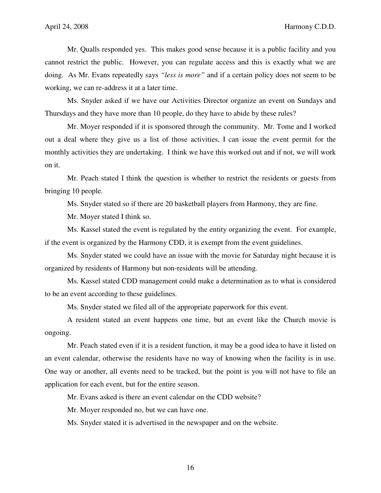Mr. Qualls responded yes. This makes good sense because it is a public facility and you cannot restrict the public. However, you can regulate access and this is exactly what we are doing. As Mr. Evans repeatedly says *"less is more"* and if a certain policy does not seem to be working, we can re-address it at a later time.

 Ms. Snyder asked if we have our Activities Director organize an event on Sundays and Thursdays and they have more than 10 people, do they have to abide by these rules?

 Mr. Moyer responded if it is sponsored through the community. Mr. Tome and I worked out a deal where they give us a list of those activities, I can issue the event permit for the monthly activities they are undertaking. I think we have this worked out and if not, we will work on it.

 Mr. Peach stated I think the question is whether to restrict the residents or guests from bringing 10 people.

Ms. Snyder stated so if there are 20 basketball players from Harmony, they are fine.

Mr. Moyer stated I think so.

 Ms. Kassel stated the event is regulated by the entity organizing the event. For example, if the event is organized by the Harmony CDD, it is exempt from the event guidelines.

 Ms. Snyder stated we could have an issue with the movie for Saturday night because it is organized by residents of Harmony but non-residents will be attending.

 Ms. Kassel stated CDD management could make a determination as to what is considered to be an event according to these guidelines.

Ms. Snyder stated we filed all of the appropriate paperwork for this event.

 A resident stated an event happens one time, but an event like the Church movie is ongoing.

 Mr. Peach stated even if it is a resident function, it may be a good idea to have it listed on an event calendar, otherwise the residents have no way of knowing when the facility is in use. One way or another, all events need to be tracked, but the point is you will not have to file an application for each event, but for the entire season.

Mr. Evans asked is there an event calendar on the CDD website?

Mr. Moyer responded no, but we can have one.

Ms. Snyder stated it is advertised in the newspaper and on the website.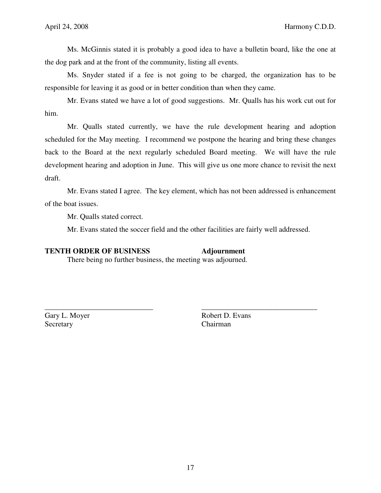Ms. McGinnis stated it is probably a good idea to have a bulletin board, like the one at the dog park and at the front of the community, listing all events.

 Ms. Snyder stated if a fee is not going to be charged, the organization has to be responsible for leaving it as good or in better condition than when they came.

 Mr. Evans stated we have a lot of good suggestions. Mr. Qualls has his work cut out for him.

 Mr. Qualls stated currently, we have the rule development hearing and adoption scheduled for the May meeting. I recommend we postpone the hearing and bring these changes back to the Board at the next regularly scheduled Board meeting. We will have the rule development hearing and adoption in June. This will give us one more chance to revisit the next draft.

 Mr. Evans stated I agree. The key element, which has not been addressed is enhancement of the boat issues.

Mr. Qualls stated correct.

Mr. Evans stated the soccer field and the other facilities are fairly well addressed.

\_\_\_\_\_\_\_\_\_\_\_\_\_\_\_\_\_\_\_\_\_\_\_\_\_\_\_\_\_ \_\_\_\_\_\_\_\_\_\_\_\_\_\_\_\_\_\_\_\_\_\_\_\_\_\_\_\_\_\_\_

#### **TENTH ORDER OF BUSINESS Adjournment**

There being no further business, the meeting was adjourned.

Secretary Chairman

Gary L. Moyer Robert D. Evans